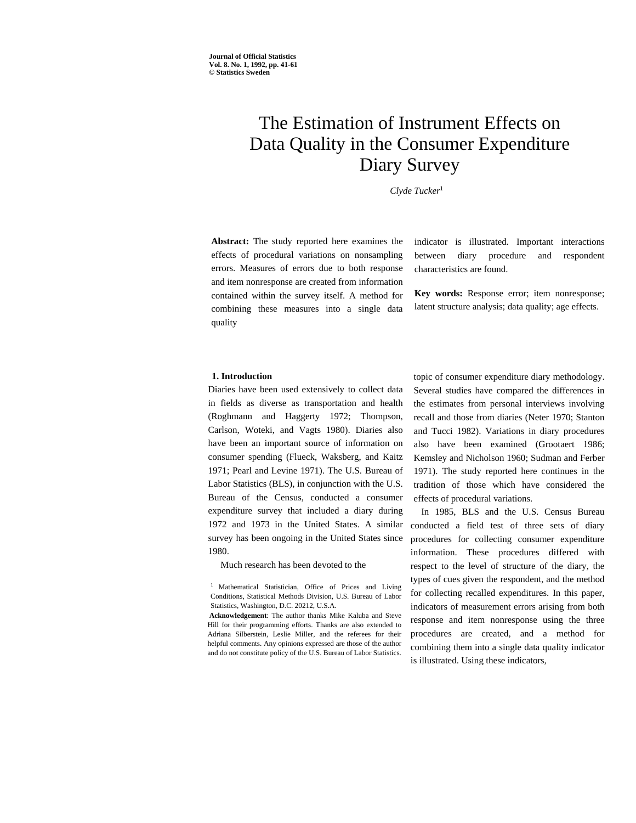# The Estimation of Instrument Effects on Data Quality in the Consumer Expenditure Diary Survey

*Clyde Tucker*<sup>1</sup>

**Abstract:** The study reported here examines the effects of procedural variations on nonsampling errors. Measures of errors due to both response and item nonresponse are created from information contained within the survey itself. A method for combining these measures into a single data quality

indicator is illustrated. Important interactions between diary procedure and respondent characteristics are found.

**Key words:** Response error; item nonresponse; latent structure analysis; data quality; age effects.

## **1. Introduction**

Diaries have been used extensively to collect data in fields as diverse as transportation and health (Roghmann and Haggerty 1972; Thompson, Carlson, Woteki, and Vagts 1980). Diaries also have been an important source of information on consumer spending (Flueck, Waksberg, and Kaitz 1971; Pearl and Levine 1971). The U.S. Bureau of Labor Statistics (BLS), in conjunction with the U.S. Bureau of the Census, conducted a consumer expenditure survey that included a diary during 1972 and 1973 in the United States. A similar survey has been ongoing in the United States since 1980.

Much research has been devoted to the

<sup>1</sup> Mathematical Statistician, Office of Prices and Living Conditions, Statistical Methods Division, U.S. Bureau of Labor Statistics, Washington, D.C. 20212, U.S.A.

**Acknowledgement**: The author thanks Mike Kaluba and Steve Hill for their programming efforts. Thanks are also extended to Adriana Silberstein, Leslie Miller, and the referees for their helpful comments. Any opinions expressed are those of the author and do not constitute policy of the U.S. Bureau of Labor Statistics.

topic of consumer expenditure diary methodology. Several studies have compared the differences in the estimates from personal interviews involving recall and those from diaries (Neter 1970; Stanton and Tucci 1982). Variations in diary procedures also have been examined (Grootaert 1986; Kemsley and Nicholson 1960; Sudman and Ferber 1971). The study reported here continues in the tradition of those which have considered the effects of procedural variations.

In 1985, BLS and the U.S. Census Bureau conducted a field test of three sets of diary procedures for collecting consumer expenditure information. These procedures differed with respect to the level of structure of the diary, the types of cues given the respondent, and the method for collecting recalled expenditures. In this paper, indicators of measurement errors arising from both response and item nonresponse using the three procedures are created, and a method for combining them into a single data quality indicator is illustrated. Using these indicators,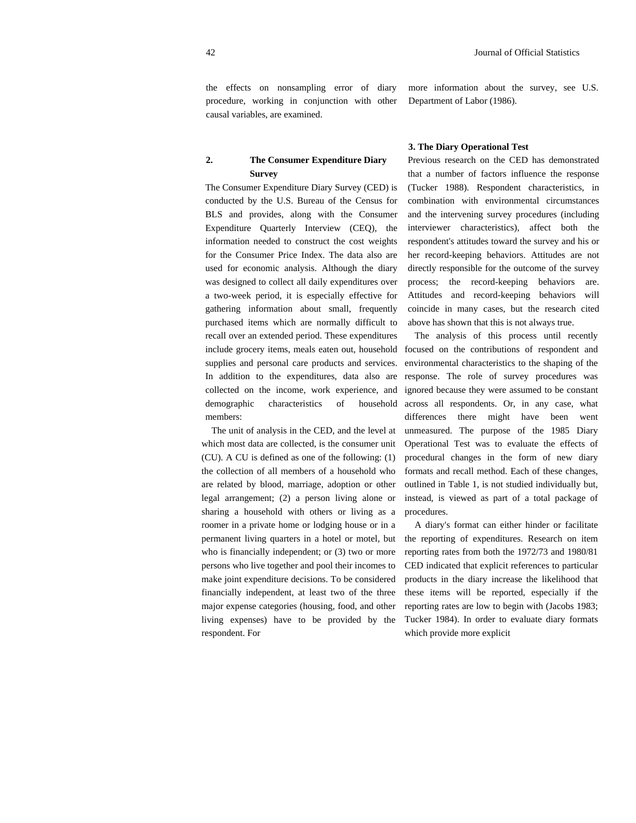the effects on nonsampling error of diary procedure, working in conjunction with other causal variables, are examined.

# **2. The Consumer Expenditure Diary Survey**

The Consumer Expenditure Diary Survey (CED) is conducted by the U.S. Bureau of the Census for BLS and provides, along with the Consumer Expenditure Quarterly Interview (CEQ), the information needed to construct the cost weights for the Consumer Price Index. The data also are used for economic analysis. Although the diary was designed to collect all daily expenditures over a two-week period, it is especially effective for gathering information about small, frequently purchased items which are normally difficult to recall over an extended period. These expenditures include grocery items, meals eaten out, household supplies and personal care products and services. In addition to the expenditures, data also are collected on the income, work experience, and demographic characteristics of household members:

The unit of analysis in the CED, and the level at which most data are collected, is the consumer unit (CU). A CU is defined as one of the following: (1) the collection of all members of a household who are related by blood, marriage, adoption or other legal arrangement; (2) a person living alone or sharing a household with others or living as a roomer in a private home or lodging house or in a permanent living quarters in a hotel or motel, but who is financially independent; or (3) two or more persons who live together and pool their incomes to make joint expenditure decisions. To be considered financially independent, at least two of the three major expense categories (housing, food, and other living expenses) have to be provided by the respondent. For

more information about the survey, see U.S. Department of Labor (1986).

#### **3. The Diary Operational Test**

Previous research on the CED has demonstrated that a number of factors influence the response (Tucker 1988). Respondent characteristics, in combination with environmental circumstances and the intervening survey procedures (including interviewer characteristics), affect both the respondent's attitudes toward the survey and his or her record-keeping behaviors. Attitudes are not directly responsible for the outcome of the survey process; the record-keeping behaviors are. Attitudes and record-keeping behaviors will coincide in many cases, but the research cited above has shown that this is not always true.

The analysis of this process until recently focused on the contributions of respondent and environmental characteristics to the shaping of the response. The role of survey procedures was ignored because they were assumed to be constant across all respondents. Or, in any case, what differences there might have been went unmeasured. The purpose of the 1985 Diary Operational Test was to evaluate the effects of procedural changes in the form of new diary formats and recall method. Each of these changes, outlined in Table 1, is not studied individually but, instead, is viewed as part of a total package of procedures.

A diary's format can either hinder or facilitate the reporting of expenditures. Research on item reporting rates from both the 1972/73 and 1980/81 CED indicated that explicit references to particular products in the diary increase the likelihood that these items will be reported, especially if the reporting rates are low to begin with (Jacobs 1983; Tucker 1984). In order to evaluate diary formats which provide more explicit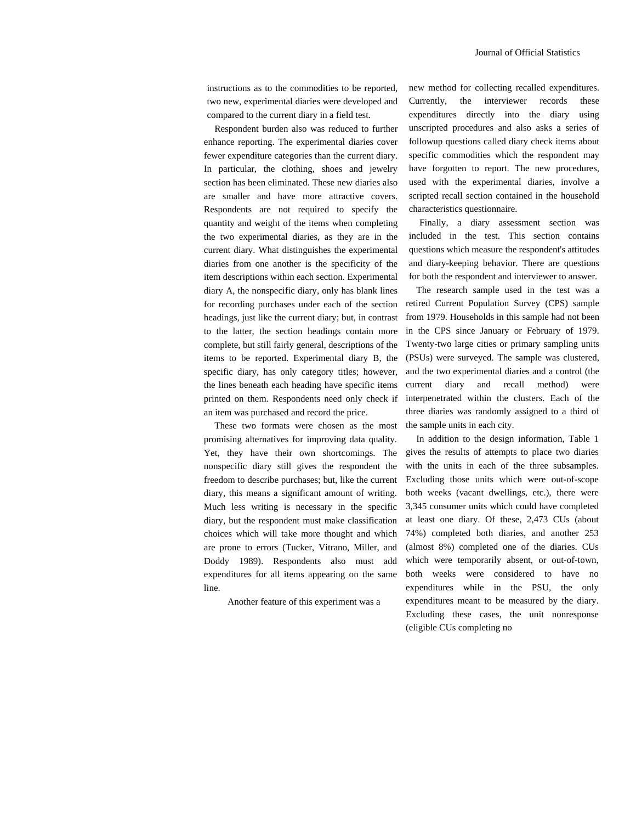instructions as to the commodities to be reported, two new, experimental diaries were developed and compared to the current diary in a field test.

Respondent burden also was reduced to further enhance reporting. The experimental diaries cover fewer expenditure categories than the current diary. In particular, the clothing, shoes and jewelry section has been eliminated. These new diaries also are smaller and have more attractive covers. Respondents are not required to specify the quantity and weight of the items when completing the two experimental diaries, as they are in the current diary. What distinguishes the experimental diaries from one another is the specificity of the item descriptions within each section. Experimental diary A, the nonspecific diary, only has blank lines for recording purchases under each of the section headings, just like the current diary; but, in contrast to the latter, the section headings contain more complete, but still fairly general, descriptions of the items to be reported. Experimental diary B, the specific diary, has only category titles; however, the lines beneath each heading have specific items printed on them. Respondents need only check if an item was purchased and record the price.

These two formats were chosen as the most promising alternatives for improving data quality. Yet, they have their own shortcomings. The nonspecific diary still gives the respondent the freedom to describe purchases; but, like the current diary, this means a significant amount of writing. Much less writing is necessary in the specific diary, but the respondent must make classification choices which will take more thought and which are prone to errors (Tucker, Vitrano, Miller, and Doddy 1989). Respondents also must add expenditures for all items appearing on the same line.

Another feature of this experiment was a

new method for collecting recalled expenditures. Currently, the interviewer records these expenditures directly into the diary using unscripted procedures and also asks a series of followup questions called diary check items about specific commodities which the respondent may have forgotten to report. The new procedures, used with the experimental diaries, involve a scripted recall section contained in the household characteristics questionnaire.

Finally, a diary assessment section was included in the test. This section contains questions which measure the respondent's attitudes and diary-keeping behavior. There are questions for both the respondent and interviewer to answer.

The research sample used in the test was a retired Current Population Survey (CPS) sample from 1979. Households in this sample had not been in the CPS since January or February of 1979. Twenty-two large cities or primary sampling units (PSUs) were surveyed. The sample was clustered, and the two experimental diaries and a control (the current diary and recall method) were interpenetrated within the clusters. Each of the three diaries was randomly assigned to a third of the sample units in each city.

In addition to the design information, Table 1 gives the results of attempts to place two diaries with the units in each of the three subsamples. Excluding those units which were out-of-scope both weeks (vacant dwellings, etc.), there were 3,345 consumer units which could have completed at least one diary. Of these, 2,473 CUs (about 74%) completed both diaries, and another 253 (almost 8%) completed one of the diaries. CUs which were temporarily absent, or out-of-town, both weeks were considered to have no expenditures while in the PSU, the only expenditures meant to be measured by the diary. Excluding these cases, the unit nonresponse (eligible CUs completing no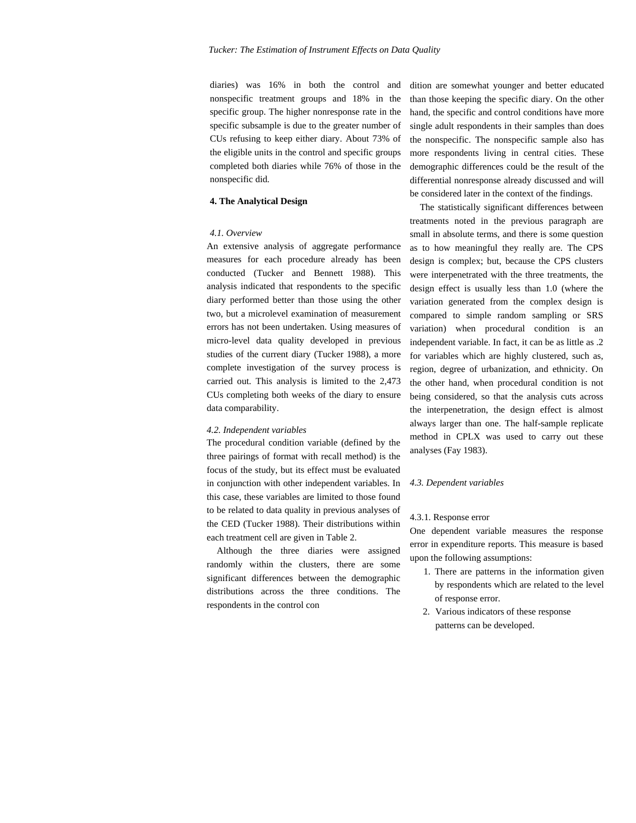diaries) was 16% in both the control and nonspecific treatment groups and 18% in the specific group. The higher nonresponse rate in the specific subsample is due to the greater number of CUs refusing to keep either diary. About 73% of the eligible units in the control and specific groups completed both diaries while 76% of those in the nonspecific did.

## **4. The Analytical Design**

## *4.1. Overview*

An extensive analysis of aggregate performance measures for each procedure already has been conducted (Tucker and Bennett 1988). This analysis indicated that respondents to the specific diary performed better than those using the other two, but a microlevel examination of measurement errors has not been undertaken. Using measures of micro-level data quality developed in previous studies of the current diary (Tucker 1988), a more complete investigation of the survey process is carried out. This analysis is limited to the 2,473 CUs completing both weeks of the diary to ensure data comparability.

#### *4.2. Independent variables*

The procedural condition variable (defined by the three pairings of format with recall method) is the focus of the study, but its effect must be evaluated in conjunction with other independent variables. In this case, these variables are limited to those found to be related to data quality in previous analyses of the CED (Tucker 1988). Their distributions within each treatment cell are given in Table 2.

Although the three diaries were assigned randomly within the clusters, there are some significant differences between the demographic distributions across the three conditions. The respondents in the control con

dition are somewhat younger and better educated than those keeping the specific diary. On the other hand, the specific and control conditions have more single adult respondents in their samples than does the nonspecific. The nonspecific sample also has more respondents living in central cities. These demographic differences could be the result of the differential nonresponse already discussed and will be considered later in the context of the findings.

The statistically significant differences between treatments noted in the previous paragraph are small in absolute terms, and there is some question as to how meaningful they really are. The CPS design is complex; but, because the CPS clusters were interpenetrated with the three treatments, the design effect is usually less than 1.0 (where the variation generated from the complex design is compared to simple random sampling or SRS variation) when procedural condition is an independent variable. In fact, it can be as little as .2 for variables which are highly clustered, such as, region, degree of urbanization, and ethnicity. On the other hand, when procedural condition is not being considered, so that the analysis cuts across the interpenetration, the design effect is almost always larger than one. The half-sample replicate method in CPLX was used to carry out these analyses (Fay 1983).

## *4.3. Dependent variables*

#### 4.3.1. Response error

One dependent variable measures the response error in expenditure reports. This measure is based upon the following assumptions:

- 1. There are patterns in the information given by respondents which are related to the level of response error.
- 2. Various indicators of these response patterns can be developed.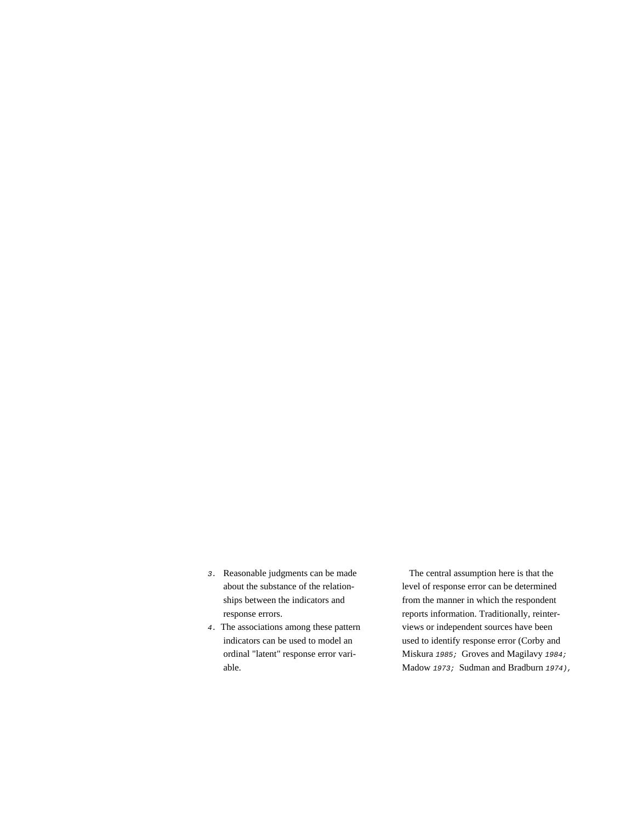- *3.* Reasonable judgments can be made The central assumption here is that the
- 

about the substance of the relation- level of response error can be determined ships between the indicators and from the manner in which the respondent response errors. Traditionally, reinter-4. The associations among these pattern views or independent sources have been indicators can be used to model an used to identify response error (Corby and ordinal "latent" response error vari- Miskura *1985;* Groves and Magilavy *1984;* able. Madow *1973;* Sudman and Bradburn *1974),*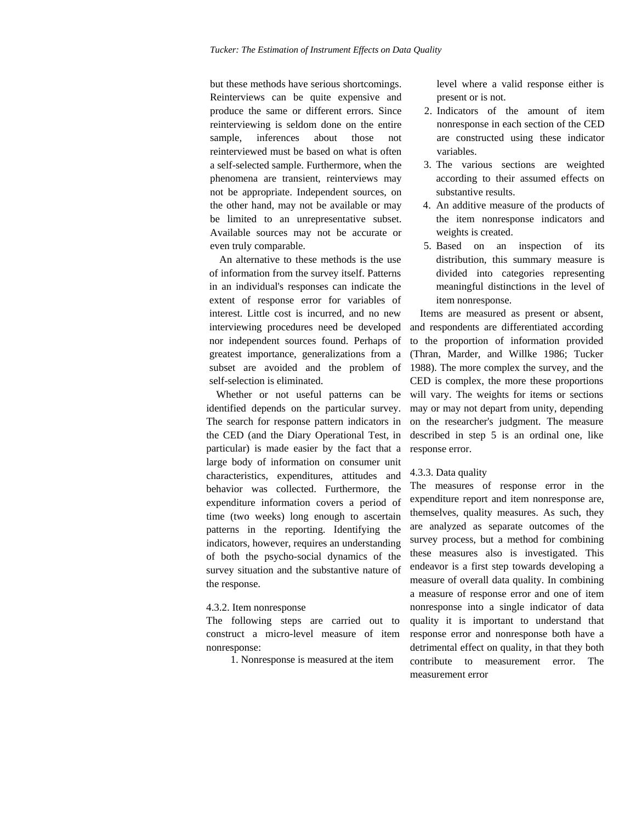but these methods have serious shortcomings. Reinterviews can be quite expensive and produce the same or different errors. Since reinterviewing is seldom done on the entire sample, inferences about those not reinterviewed must be based on what is often a self-selected sample. Furthermore, when the phenomena are transient, reinterviews may not be appropriate. Independent sources, on the other hand, may not be available or may be limited to an unrepresentative subset. Available sources may not be accurate or even truly comparable.

An alternative to these methods is the use of information from the survey itself. Patterns in an individual's responses can indicate the extent of response error for variables of interest. Little cost is incurred, and no new interviewing procedures need be developed nor independent sources found. Perhaps of greatest importance, generalizations from a subset are avoided and the problem of self-selection is eliminated.

Whether or not useful patterns can be identified depends on the particular survey. The search for response pattern indicators in the CED (and the Diary Operational Test, in particular) is made easier by the fact that a large body of information on consumer unit characteristics, expenditures, attitudes and behavior was collected. Furthermore, the expenditure information covers a period of time (two weeks) long enough to ascertain patterns in the reporting. Identifying the indicators, however, requires an understanding of both the psycho-social dynamics of the survey situation and the substantive nature of the response.

## 4.3.2. Item nonresponse

The following steps are carried out to construct a micro-level measure of item nonresponse:

1. Nonresponse is measured at the item

level where a valid response either is present or is not.

- 2. Indicators of the amount of item nonresponse in each section of the CED are constructed using these indicator variables.
- 3. The various sections are weighted according to their assumed effects on substantive results.
- 4. An additive measure of the products of the item nonresponse indicators and weights is created.
- 5. Based on an inspection of its distribution, this summary measure is divided into categories representing meaningful distinctions in the level of item nonresponse.

Items are measured as present or absent, and respondents are differentiated according to the proportion of information provided (Thran, Marder, and Willke 1986; Tucker 1988). The more complex the survey, and the CED is complex, the more these proportions will vary. The weights for items or sections may or may not depart from unity, depending on the researcher's judgment. The measure described in step 5 is an ordinal one, like response error.

## 4.3.3. Data quality

The measures of response error in the expenditure report and item nonresponse are, themselves, quality measures. As such, they are analyzed as separate outcomes of the survey process, but a method for combining these measures also is investigated. This endeavor is a first step towards developing a measure of overall data quality. In combining a measure of response error and one of item nonresponse into a single indicator of data quality it is important to understand that response error and nonresponse both have a detrimental effect on quality, in that they both contribute to measurement error. The measurement error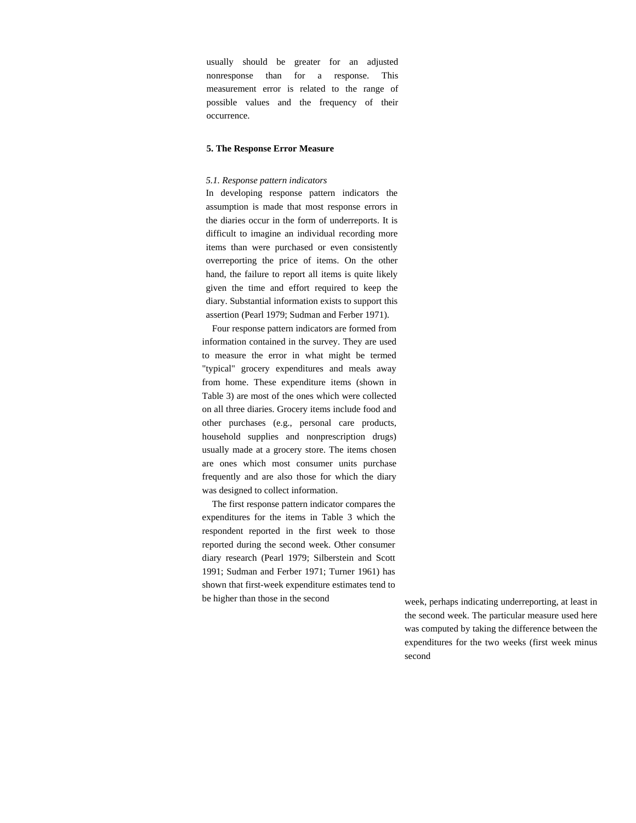usually should be greater for an adjusted nonresponse than for a response. This measurement error is related to the range of possible values and the frequency of their occurrence.

## **5. The Response Error Measure**

#### *5.1. Response pattern indicators*

In developing response pattern indicators the assumption is made that most response errors in the diaries occur in the form of underreports. It is difficult to imagine an individual recording more items than were purchased or even consistently overreporting the price of items. On the other hand, the failure to report all items is quite likely given the time and effort required to keep the diary. Substantial information exists to support this assertion (Pearl 1979; Sudman and Ferber 1971).

Four response pattern indicators are formed from information contained in the survey. They are used to measure the error in what might be termed "typical" grocery expenditures and meals away from home. These expenditure items (shown in Table 3) are most of the ones which were collected on all three diaries. Grocery items include food and other purchases (e.g., personal care products, household supplies and nonprescription drugs) usually made at a grocery store. The items chosen are ones which most consumer units purchase frequently and are also those for which the diary was designed to collect information.

The first response pattern indicator compares the expenditures for the items in Table 3 which the respondent reported in the first week to those reported during the second week. Other consumer diary research (Pearl 1979; Silberstein and Scott 1991; Sudman and Ferber 1971; Turner 1961) has shown that first-week expenditure estimates tend to be higher than those in the second week, perhaps indicating underreporting, at least in

the second week. The particular measure used here was computed by taking the difference between the expenditures for the two weeks (first week minus second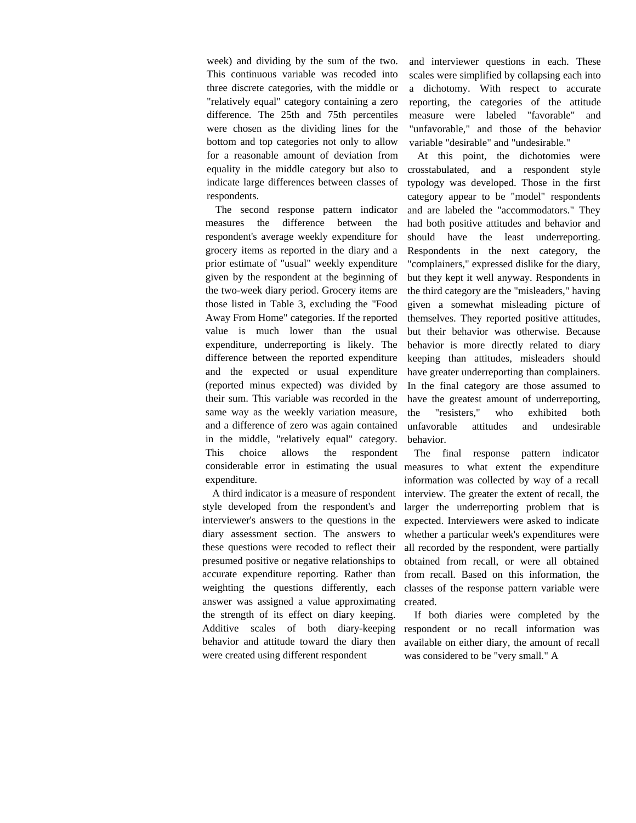week) and dividing by the sum of the two. This continuous variable was recoded into three discrete categories, with the middle or "relatively equal" category containing a zero difference. The 25th and 75th percentiles were chosen as the dividing lines for the bottom and top categories not only to allow for a reasonable amount of deviation from equality in the middle category but also to indicate large differences between classes of respondents.

The second response pattern indicator measures the difference between the respondent's average weekly expenditure for grocery items as reported in the diary and a prior estimate of "usual" weekly expenditure given by the respondent at the beginning of the two-week diary period. Grocery items are those listed in Table 3, excluding the "Food Away From Home" categories. If the reported value is much lower than the usual expenditure, underreporting is likely. The difference between the reported expenditure and the expected or usual expenditure (reported minus expected) was divided by their sum. This variable was recorded in the same way as the weekly variation measure, and a difference of zero was again contained in the middle, "relatively equal" category. This choice allows the respondent expenditure.

A third indicator is a measure of respondent style developed from the respondent's and interviewer's answers to the questions in the diary assessment section. The answers to these questions were recoded to reflect their presumed positive or negative relationships to accurate expenditure reporting. Rather than weighting the questions differently, each answer was assigned a value approximating the strength of its effect on diary keeping. Additive scales of both diary-keeping behavior and attitude toward the diary then were created using different respondent

and interviewer questions in each. These scales were simplified by collapsing each into a dichotomy. With respect to accurate reporting, the categories of the attitude measure were labeled "favorable" and "unfavorable," and those of the behavior variable "desirable" and "undesirable."

At this point, the dichotomies were crosstabulated, and a respondent style typology was developed. Those in the first category appear to be "model" respondents and are labeled the "accommodators." They had both positive attitudes and behavior and should have the least underreporting. Respondents in the next category, the "complainers," expressed dislike for the diary, but they kept it well anyway. Respondents in the third category are the "misleaders," having given a somewhat misleading picture of themselves. They reported positive attitudes, but their behavior was otherwise. Because behavior is more directly related to diary keeping than attitudes, misleaders should have greater underreporting than complainers. In the final category are those assumed to have the greatest amount of underreporting, the "resisters," who exhibited both unfavorable attitudes and undesirable behavior.

considerable error in estimating the usual measures to what extent the expenditure The final response pattern indicator information was collected by way of a recall interview. The greater the extent of recall, the larger the underreporting problem that is expected. Interviewers were asked to indicate whether a particular week's expenditures were all recorded by the respondent, were partially obtained from recall, or were all obtained from recall. Based on this information, the classes of the response pattern variable were created.

> If both diaries were completed by the respondent or no recall information was available on either diary, the amount of recall was considered to be "very small." A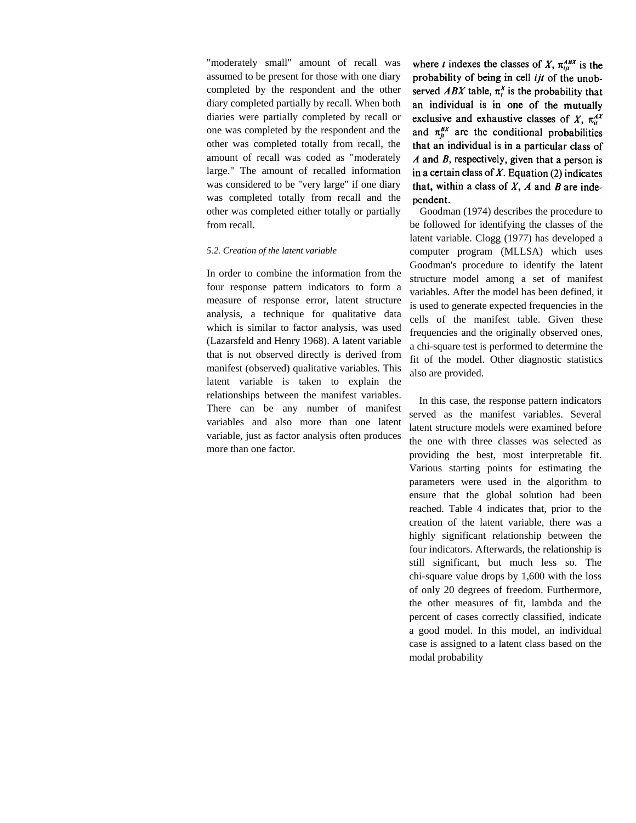"moderately small" amount of recall was assumed to be present for those with one diary completed by the respondent and the other diary completed partially by recall. When both diaries were partially completed by recall or one was completed by the respondent and the other was completed totally from recall, the amount of recall was coded as "moderately large." The amount of recalled information was considered to be "very large" if one diary was completed totally from recall and the other was completed either totally or partially from recall.

## *5.2. Creation of the latent variable*

In order to combine the information from the four response pattern indicators to form a measure of response error, latent structure analysis, a technique for qualitative data which is similar to factor analysis, was used (Lazarsfeld and Henry 1968). A latent variable that is not observed directly is derived from manifest (observed) qualitative variables. This latent variable is taken to explain the relationships between the manifest variables. There can be any number of manifest variables and also more than one latent variable, just as factor analysis often produces more than one factor.

where *t* indexes the classes of X,  $\pi_{ii}^{ABX}$  is the probability of being in cell ijt of the unobserved *ABX* table,  $\pi_t^X$  is the probability that an individual is in one of the mutually exclusive and exhaustive classes of X,  $\pi_{ii}^{AX}$ and  $\pi_n^{BX}$  are the conditional probabilities that an individual is in a particular class of  $A$  and  $B$ , respectively, given that a person is in a certain class of  $X$ . Equation (2) indicates that, within a class of  $X$ ,  $A$  and  $B$  are independent.

Goodman (1974) describes the procedure to be followed for identifying the classes of the latent variable. Clogg (1977) has developed a computer program (MLLSA) which uses Goodman's procedure to identify the latent structure model among a set of manifest variables. After the model has been defined, it is used to generate expected frequencies in the cells of the manifest table. Given these frequencies and the originally observed ones, a chi-square test is performed to determine the fit of the model. Other diagnostic statistics also are provided.

In this case, the response pattern indicators served as the manifest variables. Several latent structure models were examined before the one with three classes was selected as providing the best, most interpretable fit. Various starting points for estimating the parameters were used in the algorithm to ensure that the global solution had been reached. Table 4 indicates that, prior to the creation of the latent variable, there was a highly significant relationship between the four indicators. Afterwards, the relationship is still significant, but much less so. The chi-square value drops by 1,600 with the loss of only 20 degrees of freedom. Furthermore, the other measures of fit, lambda and the percent of cases correctly classified, indicate a good model. In this model, an individual case is assigned to a latent class based on the modal probability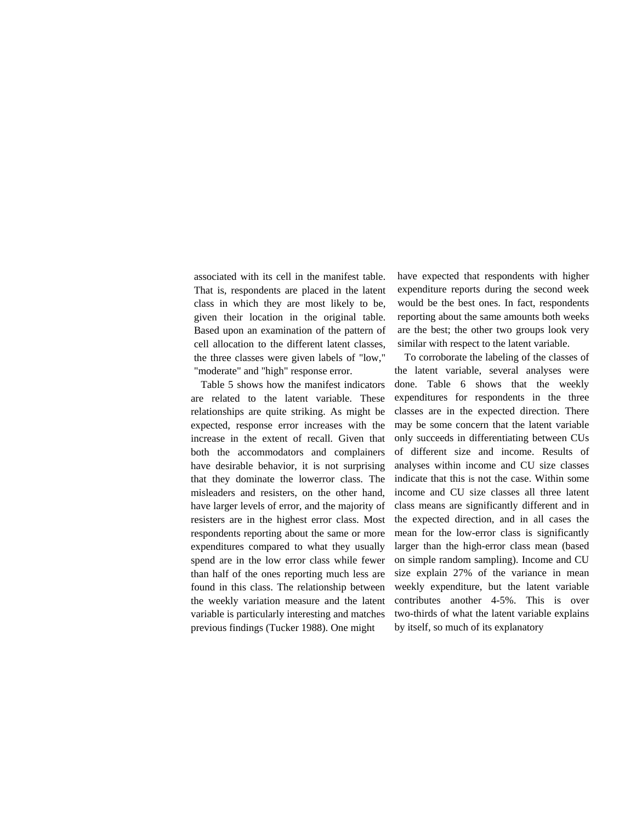associated with its cell in the manifest table. That is, respondents are placed in the latent class in which they are most likely to be, given their location in the original table. Based upon an examination of the pattern of cell allocation to the different latent classes, the three classes were given labels of "low," "moderate" and "high" response error.

Table 5 shows how the manifest indicators are related to the latent variable. These relationships are quite striking. As might be expected, response error increases with the increase in the extent of recall. Given that both the accommodators and complainers have desirable behavior, it is not surprising that they dominate the lowerror class. The misleaders and resisters, on the other hand, have larger levels of error, and the majority of resisters are in the highest error class. Most respondents reporting about the same or more expenditures compared to what they usually spend are in the low error class while fewer than half of the ones reporting much less are found in this class. The relationship between the weekly variation measure and the latent variable is particularly interesting and matches previous findings (Tucker 1988). One might

have expected that respondents with higher expenditure reports during the second week would be the best ones. In fact, respondents reporting about the same amounts both weeks are the best; the other two groups look very similar with respect to the latent variable.

To corroborate the labeling of the classes of the latent variable, several analyses were done. Table 6 shows that the weekly expenditures for respondents in the three classes are in the expected direction. There may be some concern that the latent variable only succeeds in differentiating between CUs of different size and income. Results of analyses within income and CU size classes indicate that this is not the case. Within some income and CU size classes all three latent class means are significantly different and in the expected direction, and in all cases the mean for the low-error class is significantly larger than the high-error class mean (based on simple random sampling). Income and CU size explain 27% of the variance in mean weekly expenditure, but the latent variable contributes another 4-5%. This is over two-thirds of what the latent variable explains by itself, so much of its explanatory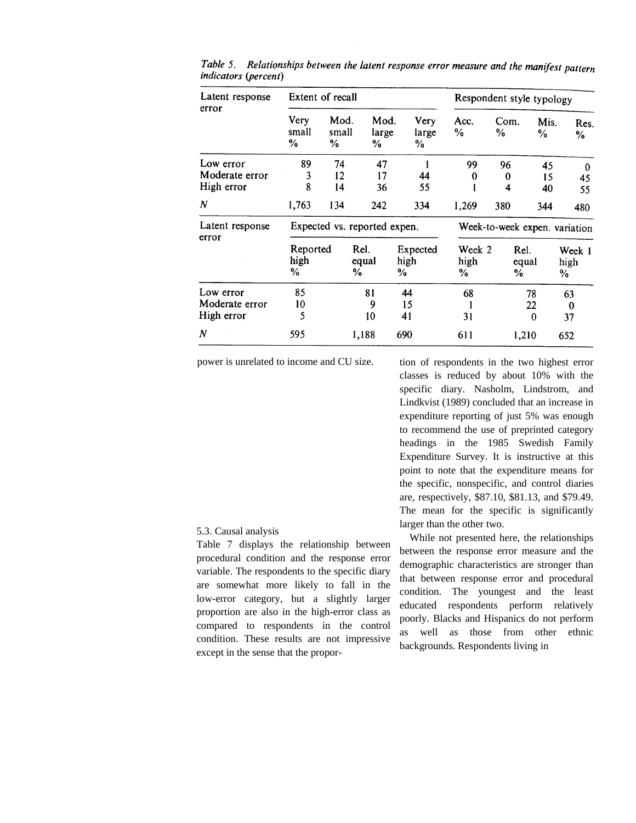| Latent response<br>error    | Extent of recall             |                    |                    |                       |                       | Respondent style typology     |               |                     |  |
|-----------------------------|------------------------------|--------------------|--------------------|-----------------------|-----------------------|-------------------------------|---------------|---------------------|--|
|                             | <b>Very</b><br>small<br>%    | Mod.<br>small<br>% | Mod.<br>large<br>% | Very<br>large<br>℅    | Acc.<br>$\frac{0}{0}$ | Com.<br>%                     | Mis.<br>℅     | Res.<br>%           |  |
| Low error<br>Moderate error | 89<br>3                      | 74<br>12           | 47<br>17           |                       | 99                    | 96                            | 45            | $\bf{0}$            |  |
| High error                  | 8                            | 14                 | 36                 | 44<br>55              | 0                     | 0<br>4                        | 15<br>40      | 45<br>55            |  |
| $\boldsymbol{N}$            | 1,763                        | 134                | 242                | 334                   | 1,269                 | 380                           | 344           | 480                 |  |
| Latent response<br>error    | Expected vs. reported expen. |                    |                    |                       |                       | Week-to-week expen. variation |               |                     |  |
|                             | Reported<br>high<br>%        |                    | Rel.<br>equal<br>℅ | Expected<br>high<br>% | Week 2<br>high<br>%   | %                             | Rel.<br>equal | Week 1<br>high<br>% |  |
| Low error<br>Moderate error | 85<br>10                     |                    | 81<br>9            | 44<br>15              | 68                    |                               | 78<br>22.     | 63<br>0             |  |
| High error                  | 5                            |                    | 10                 | 41                    | 31                    |                               | $\Omega$      | 37                  |  |
| N                           | 595                          |                    | 1,188              | 690                   | 611                   |                               | 1,210         | 652                 |  |

Table 5. Relationships between the latent response error measure and the manifest pattern *indicators* (*percent*)

power is unrelated to income and CU size.

tion of respondents in the two highest error classes is reduced by about 10% with the specific diary. Nasholm, Lindstrom, and Lindkvist (1989) concluded that an increase in expenditure reporting of just 5% was enough to recommend the use of preprinted category headings in the 1985 Swedish Family Expenditure Survey. It is instructive at this point to note that the expenditure means for the specific, nonspecific, and control diaries are, respectively, \$87.10, \$81.13, and \$79.49. The mean for the specific is significantly larger than the other two.

While not presented here, the relationships between the response error measure and the demographic characteristics are stronger than that between response error and procedural condition. The youngest and the least educated respondents perform relatively poorly. Blacks and Hispanics do not perform as well as those from other ethnic backgrounds. Respondents living in

## 5.3. Causal analysis

Table 7 displays the relationship between procedural condition and the response error variable. The respondents to the specific diary are somewhat more likely to fall in the low-error category, but a slightly larger proportion are also in the high-error class as compared to respondents in the control condition. These results are not impressive except in the sense that the propor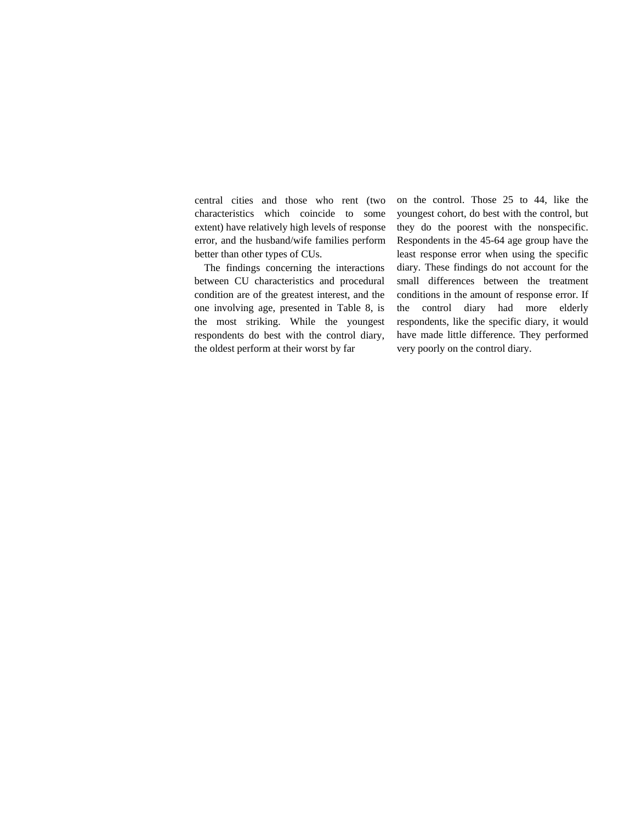central cities and those who rent (two characteristics which coincide to some extent) have relatively high levels of response error, and the husband/wife families perform better than other types of CUs.

The findings concerning the interactions between CU characteristics and procedural condition are of the greatest interest, and the one involving age, presented in Table 8, is the most striking. While the youngest respondents do best with the control diary, the oldest perform at their worst by far

on the control. Those 25 to 44, like the youngest cohort, do best with the control, but they do the poorest with the nonspecific. Respondents in the 45-64 age group have the least response error when using the specific diary. These findings do not account for the small differences between the treatment conditions in the amount of response error. If the control diary had more elderly respondents, like the specific diary, it would have made little difference. They performed very poorly on the control diary.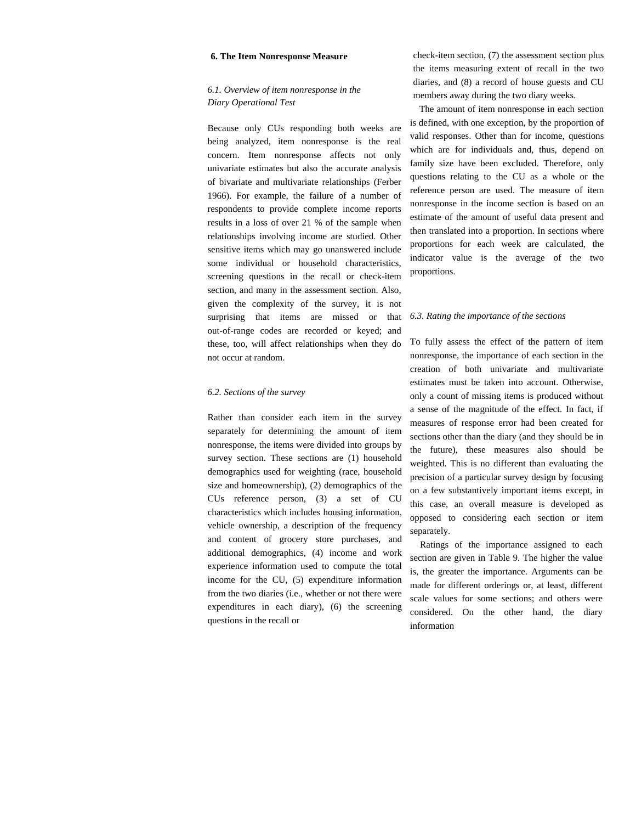#### **6. The Item Nonresponse Measure**

## *6.1. Overview of item nonresponse in the Diary Operational Test*

Because only CUs responding both weeks are being analyzed, item nonresponse is the real concern. Item nonresponse affects not only univariate estimates but also the accurate analysis of bivariate and multivariate relationships (Ferber 1966). For example, the failure of a number of respondents to provide complete income reports results in a loss of over 21 % of the sample when relationships involving income are studied. Other sensitive items which may go unanswered include some individual or household characteristics, screening questions in the recall or check-item section, and many in the assessment section. Also, given the complexity of the survey, it is not surprising that items are missed or that out-of-range codes are recorded or keyed; and these, too, will affect relationships when they do not occur at random.

## *6.2. Sections of the survey*

Rather than consider each item in the survey separately for determining the amount of item nonresponse, the items were divided into groups by survey section. These sections are (1) household demographics used for weighting (race, household size and homeownership), (2) demographics of the CUs reference person, (3) a set of CU characteristics which includes housing information, vehicle ownership, a description of the frequency and content of grocery store purchases, and additional demographics, (4) income and work experience information used to compute the total income for the CU, (5) expenditure information from the two diaries (i.e., whether or not there were expenditures in each diary), (6) the screening questions in the recall or

check-item section, (7) the assessment section plus the items measuring extent of recall in the two diaries, and (8) a record of house guests and CU members away during the two diary weeks.

The amount of item nonresponse in each section is defined, with one exception, by the proportion of valid responses. Other than for income, questions which are for individuals and, thus, depend on family size have been excluded. Therefore, only questions relating to the CU as a whole or the reference person are used. The measure of item nonresponse in the income section is based on an estimate of the amount of useful data present and then translated into a proportion. In sections where proportions for each week are calculated, the indicator value is the average of the two proportions.

#### *6.3. Rating the importance of the sections*

To fully assess the effect of the pattern of item nonresponse, the importance of each section in the creation of both univariate and multivariate estimates must be taken into account. Otherwise, only a count of missing items is produced without a sense of the magnitude of the effect. In fact, if measures of response error had been created for sections other than the diary (and they should be in the future), these measures also should be weighted. This is no different than evaluating the precision of a particular survey design by focusing on a few substantively important items except, in this case, an overall measure is developed as opposed to considering each section or item separately.

Ratings of the importance assigned to each section are given in Table 9. The higher the value is, the greater the importance. Arguments can be made for different orderings or, at least, different scale values for some sections; and others were considered. On the other hand, the diary information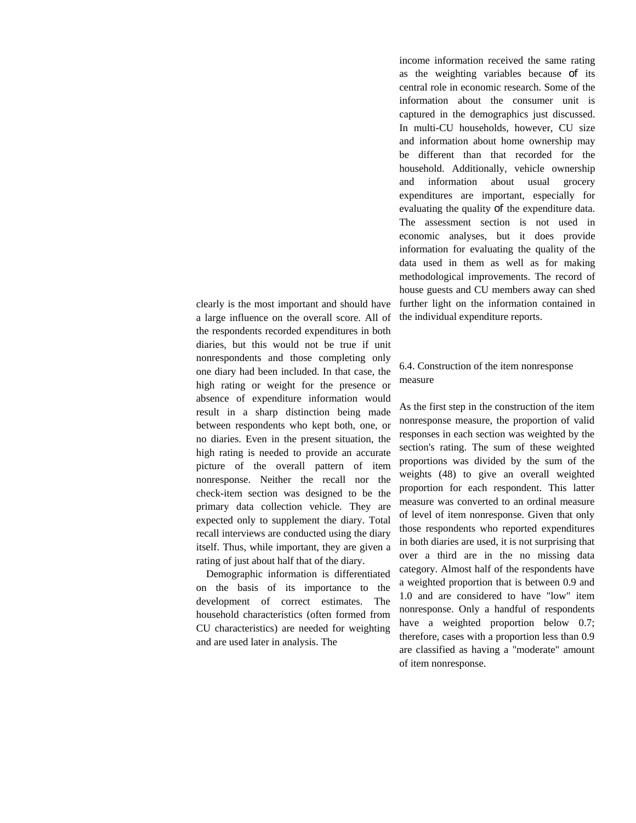clearly is the most important and should have a large influence on the overall score. All of the respondents recorded expenditures in both diaries, but this would not be true if unit nonrespondents and those completing only one diary had been included. In that case, the high rating or weight for the presence or absence of expenditure information would result in a sharp distinction being made between respondents who kept both, one, or no diaries. Even in the present situation, the high rating is needed to provide an accurate picture of the overall pattern of item nonresponse. Neither the recall nor the check-item section was designed to be the primary data collection vehicle. They are expected only to supplement the diary. Total recall interviews are conducted using the diary itself. Thus, while important, they are given a rating of just about half that of the diary.

Demographic information is differentiated on the basis of its importance to the development of correct estimates. The household characteristics (often formed from CU characteristics) are needed for weighting and are used later in analysis. The

income information received the same rating as the weighting variables because of its central role in economic research. Some of the information about the consumer unit is captured in the demographics just discussed. In multi-CU households, however, CU size and information about home ownership may be different than that recorded for the household. Additionally, vehicle ownership and information about usual grocery expenditures are important, especially for evaluating the quality of the expenditure data. The assessment section is not used in economic analyses, but it does provide information for evaluating the quality of the data used in them as well as for making methodological improvements. The record of house guests and CU members away can shed further light on the information contained in the individual expenditure reports.

# 6.4. Construction of the item nonresponse measure

As the first step in the construction of the item nonresponse measure, the proportion of valid responses in each section was weighted by the section's rating. The sum of these weighted proportions was divided by the sum of the weights (48) to give an overall weighted proportion for each respondent. This latter measure was converted to an ordinal measure of level of item nonresponse. Given that only those respondents who reported expenditures in both diaries are used, it is not surprising that over a third are in the no missing data category. Almost half of the respondents have a weighted proportion that is between 0.9 and 1.0 and are considered to have "low" item nonresponse. Only a handful of respondents have a weighted proportion below 0.7; therefore, cases with a proportion less than 0.9 are classified as having a "moderate" amount of item nonresponse.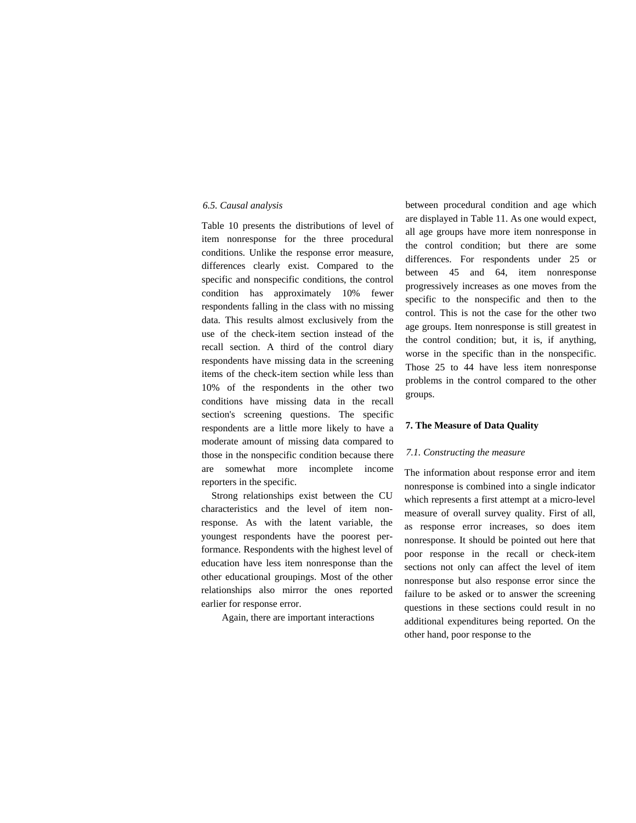## *6.5. Causal analysis*

Table 10 presents the distributions of level of item nonresponse for the three procedural conditions. Unlike the response error measure, differences clearly exist. Compared to the specific and nonspecific conditions, the control condition has approximately 10% fewer respondents falling in the class with no missing data. This results almost exclusively from the use of the check-item section instead of the recall section. A third of the control diary respondents have missing data in the screening items of the check-item section while less than 10% of the respondents in the other two conditions have missing data in the recall section's screening questions. The specific respondents are a little more likely to have a moderate amount of missing data compared to those in the nonspecific condition because there are somewhat more incomplete income reporters in the specific.

Strong relationships exist between the CU characteristics and the level of item nonresponse. As with the latent variable, the youngest respondents have the poorest performance. Respondents with the highest level of education have less item nonresponse than the other educational groupings. Most of the other relationships also mirror the ones reported earlier for response error.

Again, there are important interactions

between procedural condition and age which are displayed in Table 11. As one would expect, all age groups have more item nonresponse in the control condition; but there are some differences. For respondents under 25 or between 45 and 64, item nonresponse progressively increases as one moves from the specific to the nonspecific and then to the control. This is not the case for the other two age groups. Item nonresponse is still greatest in the control condition; but, it is, if anything, worse in the specific than in the nonspecific. Those 25 to 44 have less item nonresponse problems in the control compared to the other groups.

## **7. The Measure of Data Quality**

#### *7.1. Constructing the measure*

The information about response error and item nonresponse is combined into a single indicator which represents a first attempt at a micro-level measure of overall survey quality. First of all, as response error increases, so does item nonresponse. It should be pointed out here that poor response in the recall or check-item sections not only can affect the level of item nonresponse but also response error since the failure to be asked or to answer the screening questions in these sections could result in no additional expenditures being reported. On the other hand, poor response to the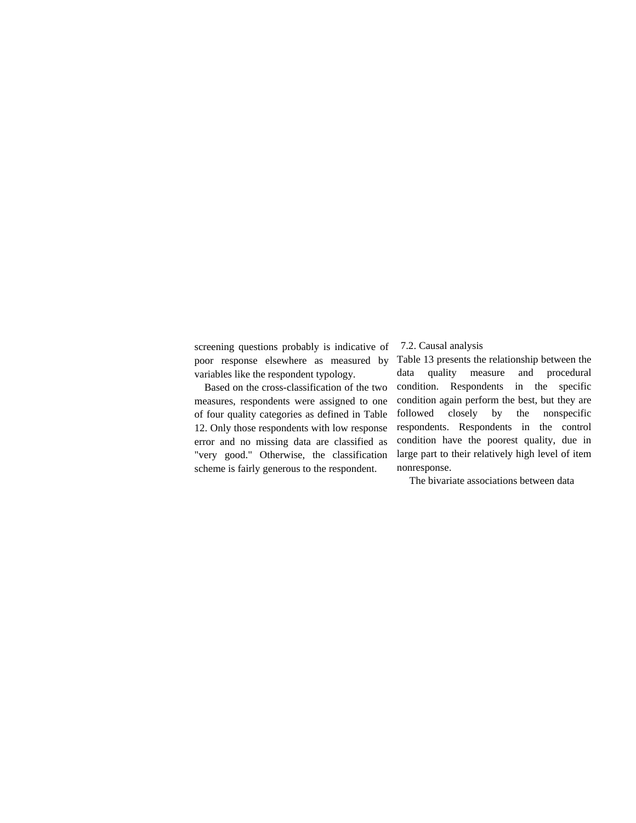screening questions probably is indicative of poor response elsewhere as measured by variables like the respondent typology.

Based on the cross-classification of the two measures, respondents were assigned to one of four quality categories as defined in Table 12. Only those respondents with low response error and no missing data are classified as "very good." Otherwise, the classification scheme is fairly generous to the respondent.

## 7.2. Causal analysis

Table 13 presents the relationship between the data quality measure and procedural condition. Respondents in the specific condition again perform the best, but they are followed closely by the nonspecific respondents. Respondents in the control condition have the poorest quality, due in large part to their relatively high level of item nonresponse.

The bivariate associations between data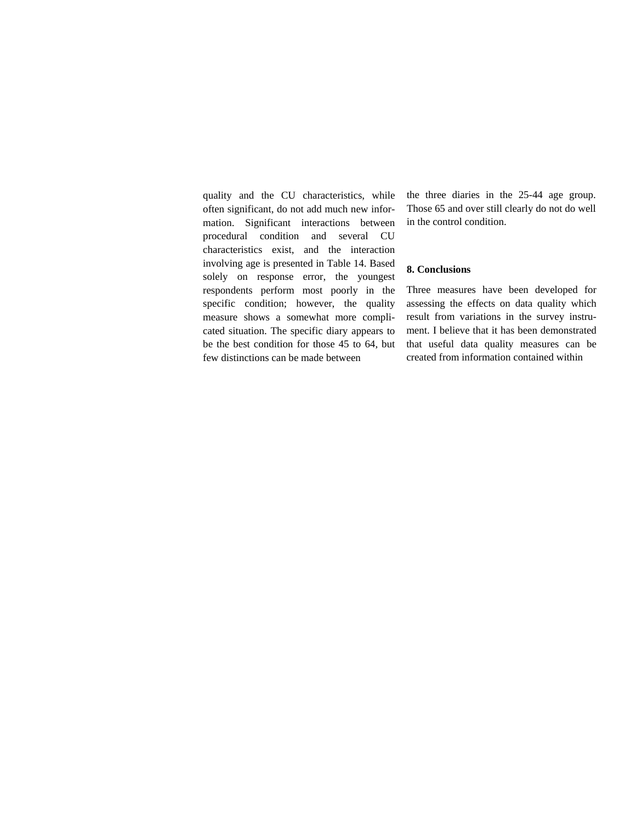quality and the CU characteristics, while often significant, do not add much new information. Significant interactions between procedural condition and several CU characteristics exist, and the interaction involving age is presented in Table 14. Based solely on response error, the youngest respondents perform most poorly in the specific condition; however, the quality measure shows a somewhat more complicated situation. The specific diary appears to be the best condition for those 45 to 64, but few distinctions can be made between

the three diaries in the 25-44 age group. Those 65 and over still clearly do not do well in the control condition.

# **8. Conclusions**

Three measures have been developed for assessing the effects on data quality which result from variations in the survey instrument. I believe that it has been demonstrated that useful data quality measures can be created from information contained within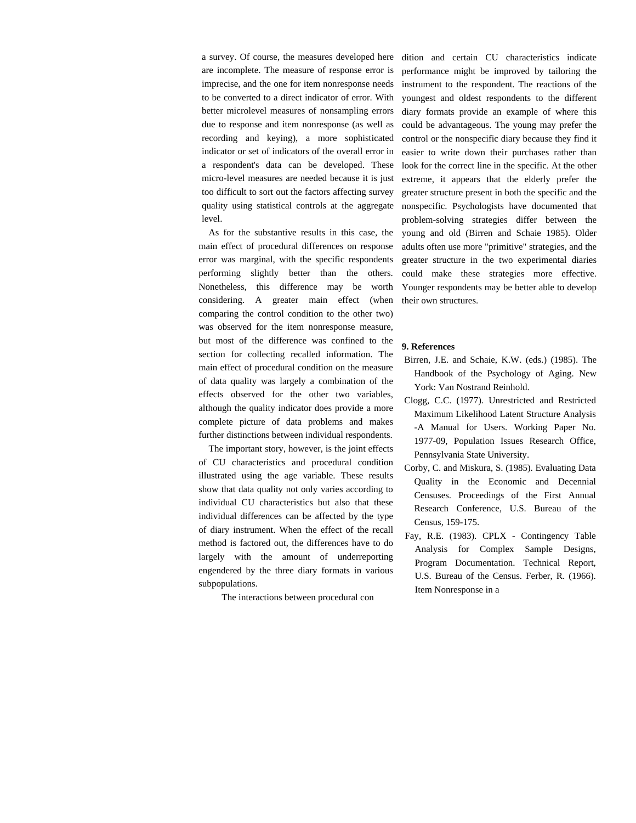a survey. Of course, the measures developed here are incomplete. The measure of response error is imprecise, and the one for item nonresponse needs to be converted to a direct indicator of error. With better microlevel measures of nonsampling errors due to response and item nonresponse (as well as recording and keying), a more sophisticated indicator or set of indicators of the overall error in a respondent's data can be developed. These micro-level measures are needed because it is just too difficult to sort out the factors affecting survey quality using statistical controls at the aggregate level.

As for the substantive results in this case, the main effect of procedural differences on response error was marginal, with the specific respondents performing slightly better than the others. Nonetheless, this difference may be worth considering. A greater main effect (when comparing the control condition to the other two) was observed for the item nonresponse measure, but most of the difference was confined to the section for collecting recalled information. The main effect of procedural condition on the measure of data quality was largely a combination of the effects observed for the other two variables, although the quality indicator does provide a more complete picture of data problems and makes further distinctions between individual respondents.

The important story, however, is the joint effects of CU characteristics and procedural condition illustrated using the age variable. These results show that data quality not only varies according to individual CU characteristics but also that these individual differences can be affected by the type of diary instrument. When the effect of the recall method is factored out, the differences have to do largely with the amount of underreporting engendered by the three diary formats in various subpopulations.

The interactions between procedural con

dition and certain CU characteristics indicate performance might be improved by tailoring the instrument to the respondent. The reactions of the youngest and oldest respondents to the different diary formats provide an example of where this could be advantageous. The young may prefer the control or the nonspecific diary because they find it easier to write down their purchases rather than look for the correct line in the specific. At the other extreme, it appears that the elderly prefer the greater structure present in both the specific and the nonspecific. Psychologists have documented that problem-solving strategies differ between the young and old (Birren and Schaie 1985). Older adults often use more "primitive" strategies, and the greater structure in the two experimental diaries could make these strategies more effective. Younger respondents may be better able to develop their own structures.

## **9. References**

- Birren, J.E. and Schaie, K.W. (eds.) (1985). The Handbook of the Psychology of Aging. New York: Van Nostrand Reinhold.
- Clogg, C.C. (1977). Unrestricted and Restricted Maximum Likelihood Latent Structure Analysis -A Manual for Users. Working Paper No. 1977-09, Population Issues Research Office, Pennsylvania State University.
- Corby, C. and Miskura, S. (1985). Evaluating Data Quality in the Economic and Decennial Censuses. Proceedings of the First Annual Research Conference, U.S. Bureau of the Census, 159-175.
- Fay, R.E. (1983). CPLX Contingency Table Analysis for Complex Sample Designs, Program Documentation. Technical Report, U.S. Bureau of the Census. Ferber, R. (1966). Item Nonresponse in a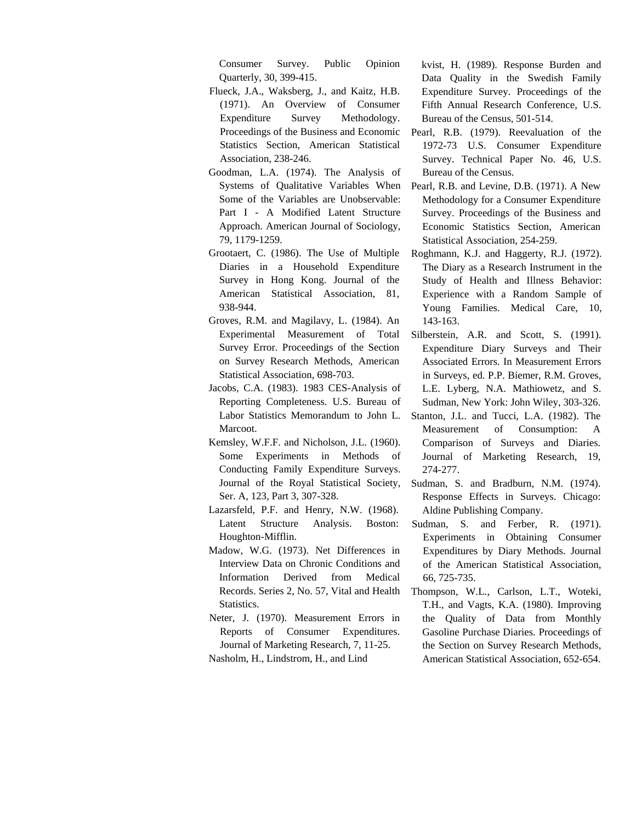Consumer Survey. Public Opinion Quarterly, 30, 399-415.

- Flueck, J.A., Waksberg, J., and Kaitz, H.B. (1971). An Overview of Consumer Expenditure Survey Methodology. Proceedings of the Business and Economic Statistics Section, American Statistical Association, 238-246.
- Goodman, L.A. (1974). The Analysis of Systems of Qualitative Variables When Some of the Variables are Unobservable: Part I - A Modified Latent Structure Approach. American Journal of Sociology, 79, 1179-1259.
- Grootaert, C. (1986). The Use of Multiple Diaries in a Household Expenditure Survey in Hong Kong. Journal of the American Statistical Association, 81, 938-944.
- Groves, R.M. and Magilavy, L. (1984). An Experimental Measurement of Total Survey Error. Proceedings of the Section on Survey Research Methods, American Statistical Association, 698-703.
- Jacobs, C.A. (1983). 1983 CES-Analysis of Reporting Completeness. U.S. Bureau of Labor Statistics Memorandum to John L. Marcoot.
- Kemsley, W.F.F. and Nicholson, J.L. (1960). Some Experiments in Methods of Conducting Family Expenditure Surveys. Journal of the Royal Statistical Society, Ser. A, 123, Part 3, 307-328.
- Lazarsfeld, P.F. and Henry, N.W. (1968). Latent Structure Analysis. Boston: Houghton-Mifflin.
- Madow, W.G. (1973). Net Differences in Interview Data on Chronic Conditions and Information Derived from Medical Records. Series 2, No. 57, Vital and Health Statistics.
- Neter, J. (1970). Measurement Errors in Reports of Consumer Expenditures. Journal of Marketing Research, 7, 11-25. Nasholm, H., Lindstrom, H., and Lind

kvist, H. (1989). Response Burden and Data Quality in the Swedish Family Expenditure Survey. Proceedings of the Fifth Annual Research Conference, U.S. Bureau of the Census, 501-514.

- Pearl, R.B. (1979). Reevaluation of the 1972-73 U.S. Consumer Expenditure Survey. Technical Paper No. 46, U.S. Bureau of the Census.
- Pearl, R.B. and Levine, D.B. (1971). A New Methodology for a Consumer Expenditure Survey. Proceedings of the Business and Economic Statistics Section, American Statistical Association, 254-259.
- Roghmann, K.J. and Haggerty, R.J. (1972). The Diary as a Research Instrument in the Study of Health and Illness Behavior: Experience with a Random Sample of Young Families. Medical Care, 10, 143-163.
- Silberstein, A.R. and Scott, S. (1991). Expenditure Diary Surveys and Their Associated Errors. In Measurement Errors in Surveys, ed. P.P. Biemer, R.M. Groves, L.E. Lyberg, N.A. Mathiowetz, and S. Sudman, New York: John Wiley, 303-326.
- Stanton, J.L. and Tucci, L.A. (1982). The Measurement of Consumption: A Comparison of Surveys and Diaries. Journal of Marketing Research, 19, 274-277.
- Sudman, S. and Bradburn, N.M. (1974). Response Effects in Surveys. Chicago: Aldine Publishing Company.
- Sudman, S. and Ferber, R. (1971). Experiments in Obtaining Consumer Expenditures by Diary Methods. Journal of the American Statistical Association, 66, 725-735.
- Thompson, W.L., Carlson, L.T., Woteki, T.H., and Vagts, K.A. (1980). Improving the Quality of Data from Monthly Gasoline Purchase Diaries. Proceedings of the Section on Survey Research Methods, American Statistical Association, 652-654.